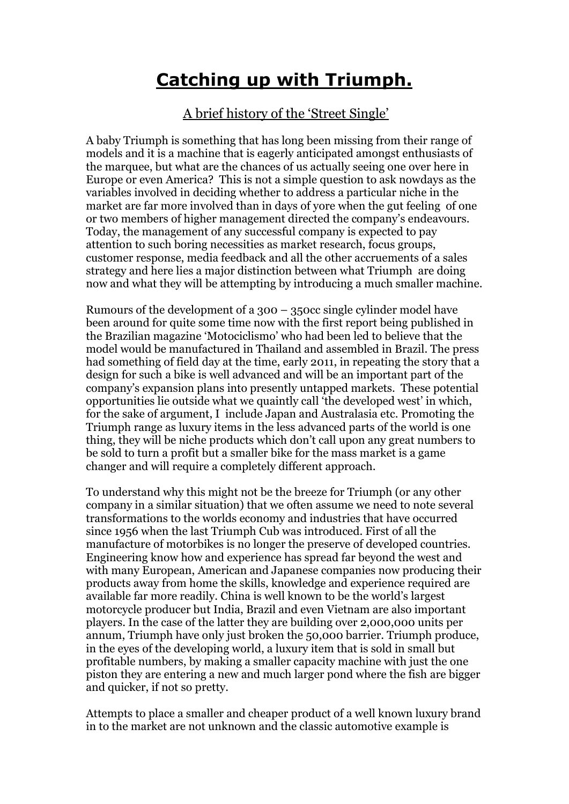## **Catching up with Triumph.**

## A brief history of the 'Street Single'

A baby Triumph is something that has long been missing from their range of models and it is a machine that is eagerly anticipated amongst enthusiasts of the marquee, but what are the chances of us actually seeing one over here in Europe or even America? This is not a simple question to ask nowdays as the variables involved in deciding whether to address a particular niche in the market are far more involved than in days of yore when the gut feeling of one or two members of higher management directed the company's endeavours. Today, the management of any successful company is expected to pay attention to such boring necessities as market research, focus groups, customer response, media feedback and all the other accruements of a sales strategy and here lies a major distinction between what Triumph are doing now and what they will be attempting by introducing a much smaller machine.

Rumours of the development of a 300 – 350cc single cylinder model have been around for quite some time now with the first report being published in the Brazilian magazine 'Motociclismo' who had been led to believe that the model would be manufactured in Thailand and assembled in Brazil. The press had something of field day at the time, early 2011, in repeating the story that a design for such a bike is well advanced and will be an important part of the company's expansion plans into presently untapped markets. These potential opportunities lie outside what we quaintly call 'the developed west' in which, for the sake of argument, I include Japan and Australasia etc. Promoting the Triumph range as luxury items in the less advanced parts of the world is one thing, they will be niche products which don't call upon any great numbers to be sold to turn a profit but a smaller bike for the mass market is a game changer and will require a completely different approach.

To understand why this might not be the breeze for Triumph (or any other company in a similar situation) that we often assume we need to note several transformations to the worlds economy and industries that have occurred since 1956 when the last Triumph Cub was introduced. First of all the manufacture of motorbikes is no longer the preserve of developed countries. Engineering know how and experience has spread far beyond the west and with many European, American and Japanese companies now producing their products away from home the skills, knowledge and experience required are available far more readily. China is well known to be the world's largest motorcycle producer but India, Brazil and even Vietnam are also important players. In the case of the latter they are building over 2,000,000 units per annum, Triumph have only just broken the 50,000 barrier. Triumph produce, in the eyes of the developing world, a luxury item that is sold in small but profitable numbers, by making a smaller capacity machine with just the one piston they are entering a new and much larger pond where the fish are bigger and quicker, if not so pretty.

Attempts to place a smaller and cheaper product of a well known luxury brand in to the market are not unknown and the classic automotive example is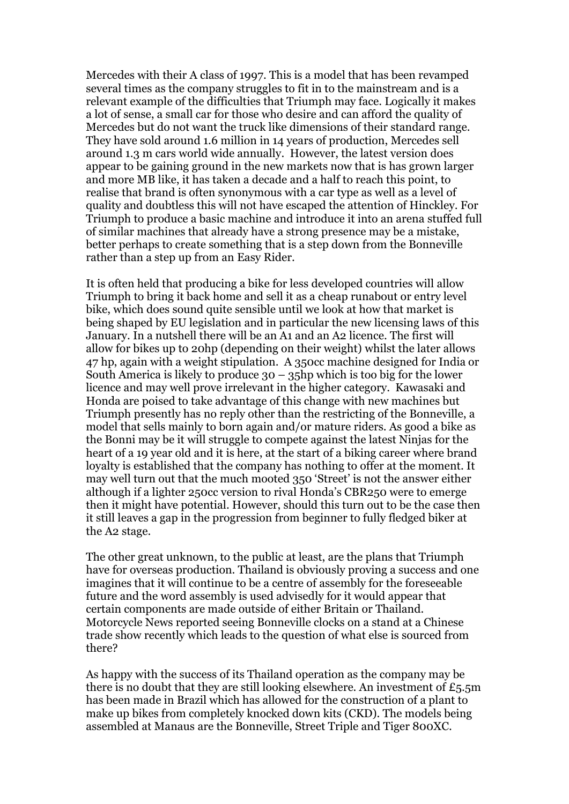Mercedes with their A class of 1997. This is a model that has been revamped several times as the company struggles to fit in to the mainstream and is a relevant example of the difficulties that Triumph may face. Logically it makes a lot of sense, a small car for those who desire and can afford the quality of Mercedes but do not want the truck like dimensions of their standard range. They have sold around 1.6 million in 14 years of production, Mercedes sell around 1.3 m cars world wide annually. However, the latest version does appear to be gaining ground in the new markets now that is has grown larger and more MB like, it has taken a decade and a half to reach this point, to realise that brand is often synonymous with a car type as well as a level of quality and doubtless this will not have escaped the attention of Hinckley. For Triumph to produce a basic machine and introduce it into an arena stuffed full of similar machines that already have a strong presence may be a mistake, better perhaps to create something that is a step down from the Bonneville rather than a step up from an Easy Rider.

It is often held that producing a bike for less developed countries will allow Triumph to bring it back home and sell it as a cheap runabout or entry level bike, which does sound quite sensible until we look at how that market is being shaped by EU legislation and in particular the new licensing laws of this January. In a nutshell there will be an A1 and an A2 licence. The first will allow for bikes up to 20hp (depending on their weight) whilst the later allows 47 hp, again with a weight stipulation. A 350cc machine designed for India or South America is likely to produce  $30 - 35$ hp which is too big for the lower licence and may well prove irrelevant in the higher category. Kawasaki and Honda are poised to take advantage of this change with new machines but Triumph presently has no reply other than the restricting of the Bonneville, a model that sells mainly to born again and/or mature riders. As good a bike as the Bonni may be it will struggle to compete against the latest Ninjas for the heart of a 19 year old and it is here, at the start of a biking career where brand loyalty is established that the company has nothing to offer at the moment. It may well turn out that the much mooted 350 'Street' is not the answer either although if a lighter 250cc version to rival Honda's CBR250 were to emerge then it might have potential. However, should this turn out to be the case then it still leaves a gap in the progression from beginner to fully fledged biker at the A2 stage.

The other great unknown, to the public at least, are the plans that Triumph have for overseas production. Thailand is obviously proving a success and one imagines that it will continue to be a centre of assembly for the foreseeable future and the word assembly is used advisedly for it would appear that certain components are made outside of either Britain or Thailand. Motorcycle News reported seeing Bonneville clocks on a stand at a Chinese trade show recently which leads to the question of what else is sourced from there?

As happy with the success of its Thailand operation as the company may be there is no doubt that they are still looking elsewhere. An investment of  $E_5$ , 5m has been made in Brazil which has allowed for the construction of a plant to make up bikes from completely knocked down kits (CKD). The models being assembled at Manaus are the Bonneville, Street Triple and Tiger 800XC.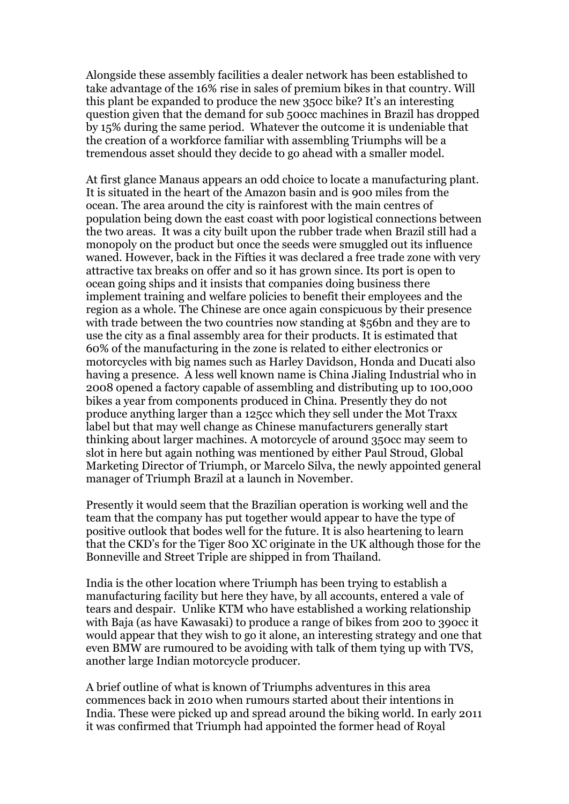Alongside these assembly facilities a dealer network has been established to take advantage of the 16% rise in sales of premium bikes in that country. Will this plant be expanded to produce the new 350cc bike? It's an interesting question given that the demand for sub 500cc machines in Brazil has dropped by 15% during the same period. Whatever the outcome it is undeniable that the creation of a workforce familiar with assembling Triumphs will be a tremendous asset should they decide to go ahead with a smaller model.

At first glance Manaus appears an odd choice to locate a manufacturing plant. It is situated in the heart of the Amazon basin and is 900 miles from the ocean. The area around the city is rainforest with the main centres of population being down the east coast with poor logistical connections between the two areas. It was a city built upon the rubber trade when Brazil still had a monopoly on the product but once the seeds were smuggled out its influence waned. However, back in the Fifties it was declared a free trade zone with very attractive tax breaks on offer and so it has grown since. Its port is open to ocean going ships and it insists that companies doing business there implement training and welfare policies to benefit their employees and the region as a whole. The Chinese are once again conspicuous by their presence with trade between the two countries now standing at \$56bn and they are to use the city as a final assembly area for their products. It is estimated that 60% of the manufacturing in the zone is related to either electronics or motorcycles with big names such as Harley Davidson, Honda and Ducati also having a presence. A less well known name is China Jialing Industrial who in 2008 opened a factory capable of assembling and distributing up to 100,000 bikes a year from components produced in China. Presently they do not produce anything larger than a 125cc which they sell under the Mot Traxx label but that may well change as Chinese manufacturers generally start thinking about larger machines. A motorcycle of around 350cc may seem to slot in here but again nothing was mentioned by either Paul Stroud, Global Marketing Director of Triumph, or Marcelo Silva, the newly appointed general manager of Triumph Brazil at a launch in November.

Presently it would seem that the Brazilian operation is working well and the team that the company has put together would appear to have the type of positive outlook that bodes well for the future. It is also heartening to learn that the CKD's for the Tiger 800 XC originate in the UK although those for the Bonneville and Street Triple are shipped in from Thailand.

India is the other location where Triumph has been trying to establish a manufacturing facility but here they have, by all accounts, entered a vale of tears and despair. Unlike KTM who have established a working relationship with Baja (as have Kawasaki) to produce a range of bikes from 200 to 390cc it would appear that they wish to go it alone, an interesting strategy and one that even BMW are rumoured to be avoiding with talk of them tying up with TVS, another large Indian motorcycle producer.

A brief outline of what is known of Triumphs adventures in this area commences back in 2010 when rumours started about their intentions in India. These were picked up and spread around the biking world. In early 2011 it was confirmed that Triumph had appointed the former head of Royal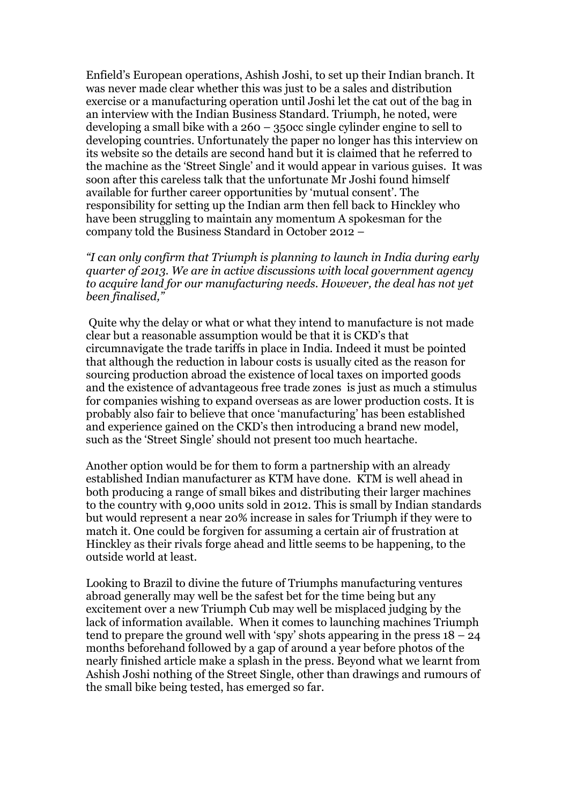Enfield's European operations, Ashish Joshi, to set up their Indian branch. It was never made clear whether this was just to be a sales and distribution exercise or a manufacturing operation until Joshi let the cat out of the bag in an interview with the Indian Business Standard. Triumph, he noted, were developing a small bike with a 260 – 350cc single cylinder engine to sell to developing countries. Unfortunately the paper no longer has this interview on its website so the details are second hand but it is claimed that he referred to the machine as the 'Street Single' and it would appear in various guises. It was soon after this careless talk that the unfortunate Mr Joshi found himself available for further career opportunities by 'mutual consent'. The responsibility for setting up the Indian arm then fell back to Hinckley who have been struggling to maintain any momentum A spokesman for the company told the Business Standard in October 2012 –

*"I can only confirm that Triumph is planning to launch in India during early quarter of 2013. We are in active discussions with local government agency to acquire land for our manufacturing needs. However, the deal has not yet been finalised,"*

Quite why the delay or what or what they intend to manufacture is not made clear but a reasonable assumption would be that it is CKD's that circumnavigate the trade tariffs in place in India. Indeed it must be pointed that although the reduction in labour costs is usually cited as the reason for sourcing production abroad the existence of local taxes on imported goods and the existence of advantageous free trade zones is just as much a stimulus for companies wishing to expand overseas as are lower production costs. It is probably also fair to believe that once 'manufacturing' has been established and experience gained on the CKD's then introducing a brand new model, such as the 'Street Single' should not present too much heartache.

Another option would be for them to form a partnership with an already established Indian manufacturer as KTM have done. KTM is well ahead in both producing a range of small bikes and distributing their larger machines to the country with 9,000 units sold in 2012. This is small by Indian standards but would represent a near 20% increase in sales for Triumph if they were to match it. One could be forgiven for assuming a certain air of frustration at Hinckley as their rivals forge ahead and little seems to be happening, to the outside world at least.

Looking to Brazil to divine the future of Triumphs manufacturing ventures abroad generally may well be the safest bet for the time being but any excitement over a new Triumph Cub may well be misplaced judging by the lack of information available. When it comes to launching machines Triumph tend to prepare the ground well with 'spy' shots appearing in the press  $18 - 24$ months beforehand followed by a gap of around a year before photos of the nearly finished article make a splash in the press. Beyond what we learnt from Ashish Joshi nothing of the Street Single, other than drawings and rumours of the small bike being tested, has emerged so far.